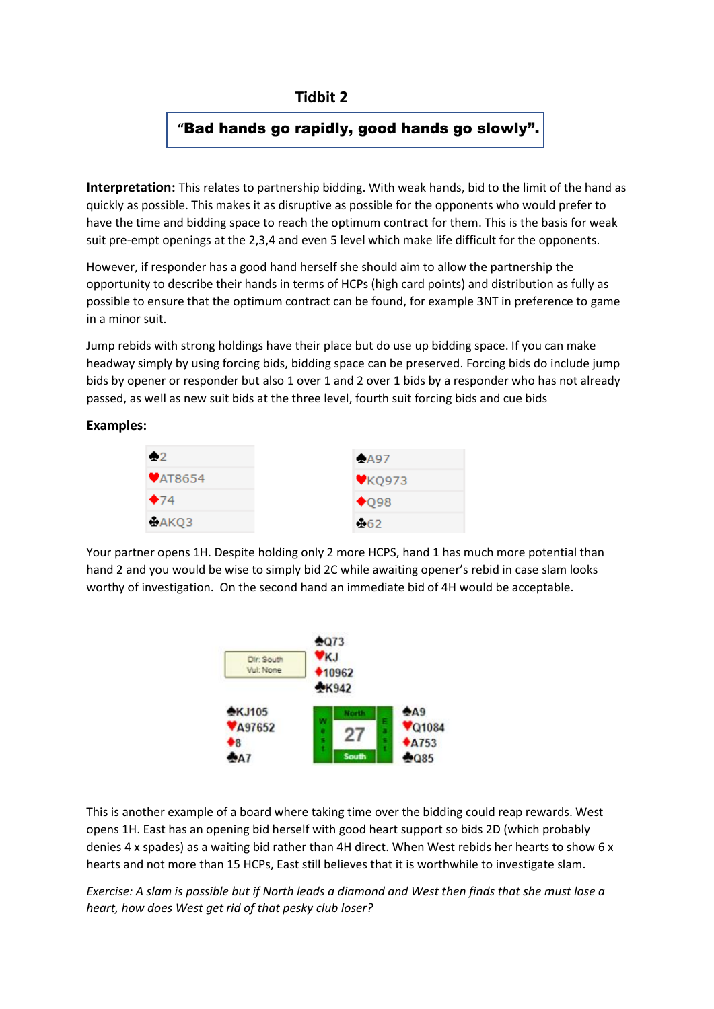## **Tidbit 2**

## **"**Bad hands go rapidly, good hands go slowly".

**Interpretation:** This relates to partnership bidding. With weak hands, bid to the limit of the hand as quickly as possible. This makes it as disruptive as possible for the opponents who would prefer to have the time and bidding space to reach the optimum contract for them. This is the basis for weak suit pre-empt openings at the 2,3,4 and even 5 level which make life difficult for the opponents.

However, if responder has a good hand herself she should aim to allow the partnership the opportunity to describe their hands in terms of HCPs (high card points) and distribution as fully as possible to ensure that the optimum contract can be found, for example 3NT in preference to game in a minor suit.

Jump rebids with strong holdings have their place but do use up bidding space. If you can make headway simply by using forcing bids, bidding space can be preserved. Forcing bids do include jump bids by opener or responder but also 1 over 1 and 2 over 1 bids by a responder who has not already passed, as well as new suit bids at the three level, fourth suit forcing bids and cue bids

## **Examples:**



Your partner opens 1H. Despite holding only 2 more HCPS, hand 1 has much more potential than hand 2 and you would be wise to simply bid 2C while awaiting opener's rebid in case slam looks worthy of investigation. On the second hand an immediate bid of 4H would be acceptable.



This is another example of a board where taking time over the bidding could reap rewards. West opens 1H. East has an opening bid herself with good heart support so bids 2D (which probably denies 4 x spades) as a waiting bid rather than 4H direct. When West rebids her hearts to show 6 x hearts and not more than 15 HCPs, East still believes that it is worthwhile to investigate slam.

*Exercise: A slam is possible but if North leads a diamond and West then finds that she must lose a heart, how does West get rid of that pesky club loser?*